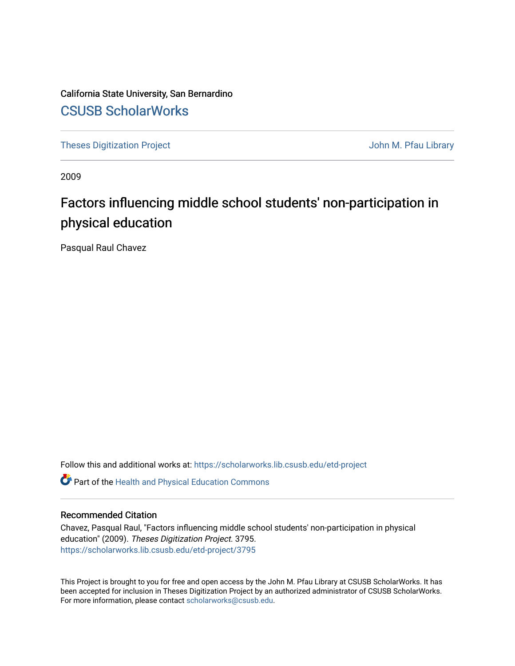California State University, San Bernardino [CSUSB ScholarWorks](https://scholarworks.lib.csusb.edu/)

[Theses Digitization Project](https://scholarworks.lib.csusb.edu/etd-project) **Accord Project** Accord Accord Digitization Project Accord Digitization Project Accord Digitization Project

2009

# Factors influencing middle school students' non-participation in physical education

Pasqual Raul Chavez

Follow this and additional works at: [https://scholarworks.lib.csusb.edu/etd-project](https://scholarworks.lib.csusb.edu/etd-project?utm_source=scholarworks.lib.csusb.edu%2Fetd-project%2F3795&utm_medium=PDF&utm_campaign=PDFCoverPages)

**C** Part of the [Health and Physical Education Commons](http://network.bepress.com/hgg/discipline/1327?utm_source=scholarworks.lib.csusb.edu%2Fetd-project%2F3795&utm_medium=PDF&utm_campaign=PDFCoverPages)

## Recommended Citation

Chavez, Pasqual Raul, "Factors influencing middle school students' non-participation in physical education" (2009). Theses Digitization Project. 3795. [https://scholarworks.lib.csusb.edu/etd-project/3795](https://scholarworks.lib.csusb.edu/etd-project/3795?utm_source=scholarworks.lib.csusb.edu%2Fetd-project%2F3795&utm_medium=PDF&utm_campaign=PDFCoverPages)

This Project is brought to you for free and open access by the John M. Pfau Library at CSUSB ScholarWorks. It has been accepted for inclusion in Theses Digitization Project by an authorized administrator of CSUSB ScholarWorks. For more information, please contact [scholarworks@csusb.edu.](mailto:scholarworks@csusb.edu)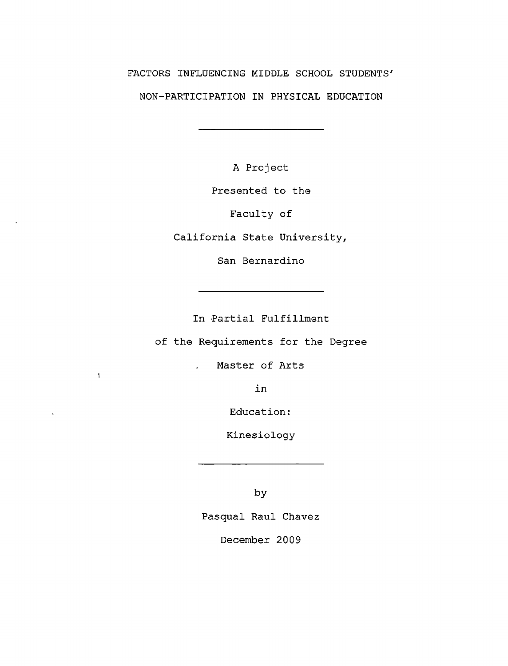# FACTORS INFLUENCING MIDDLE SCHOOL STUDENTS' NON-PARTICIPATION IN PHYSICAL EDUCATION

the control of the control of the control of

A Project

Presented to the

Faculty of

California State University,

San Bernardino

In Partial Fulfillment

of the Requirements for the Degree

Master of Arts

 $\mathbf{L}^{\text{max}}$ 

 $\mathbf{I}$ 

in

Education:

Kinesiology

by

Pasqual Raul Chavez

December 2009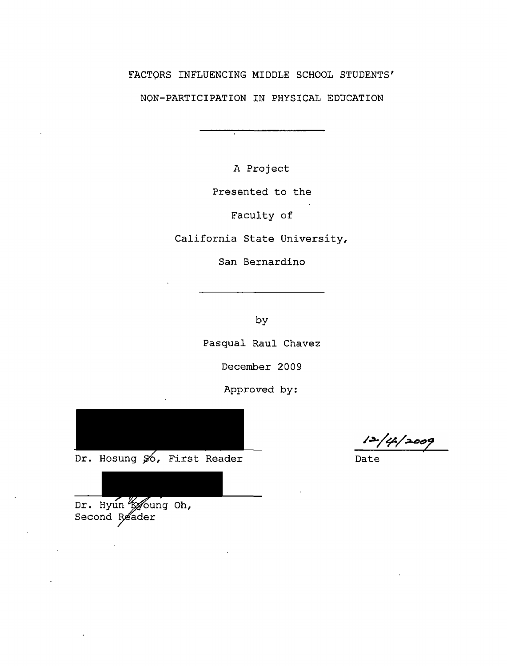# FACTORS INFLUENCING MIDDLE SCHOOL STUDENTS'

NON-PARTICIPATION IN PHYSICAL EDUCATION

A Project

Presented to the

Faculty of

California State University,

San Bernardino

by

Pasqual Raul Chavez

December 2009

Approved by:



Dr. Hosung  $\frac{1}{20}$ , First Reader Date

/4/2009

Dr. Hyun 'k oung Oh, Second Reader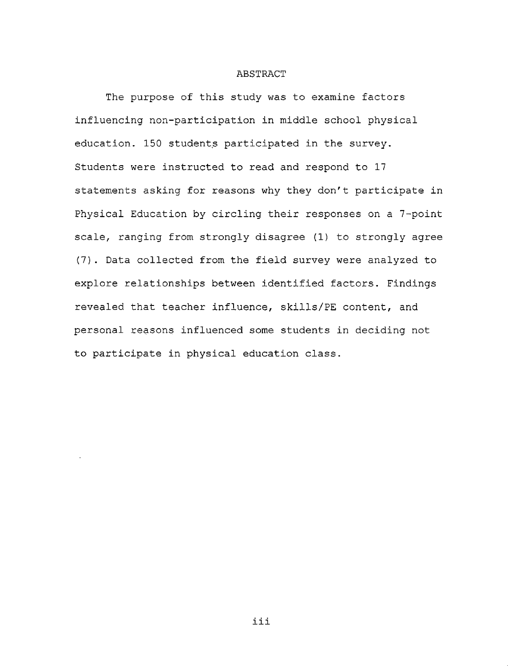#### **ABSTRACT**

The purpose of this study was to examine factors influencing non-participation in middle school physical education. 150 students participated in the survey. Students were instructed to read and respond to 17 statements asking for reasons why they don't participate in Physical Education by circling their responses on a 7-point scale, ranging from strongly disagree (1) to strongly agree (7). Data collected from the field survey were analyzed to explore relationships between identified factors. Findings revealed that teacher influence, skills/PE content, and personal reasons influenced some students in deciding not to participate in physical education class.

iii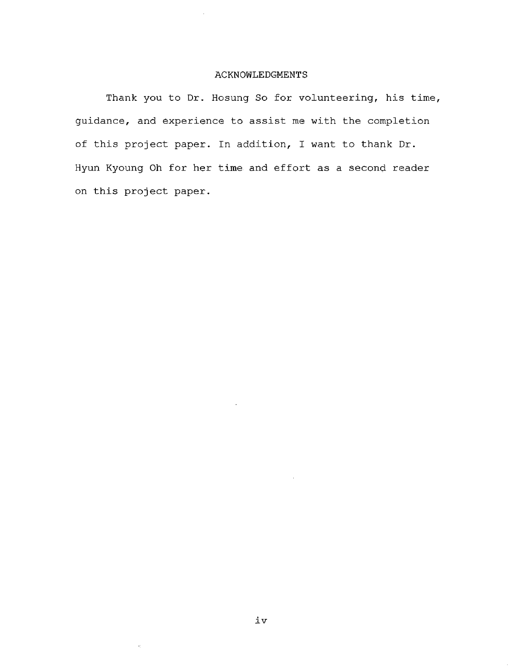## ACKNOWLEDGMENTS

Thank you to Dr. Hosung So for volunteering, his time, guidance, and experience to assist me with the completion of this project paper. In addition, I want to thank Dr. Hyun Kyoung Oh for her time and effort as a second reader on this project paper.

Ŷ.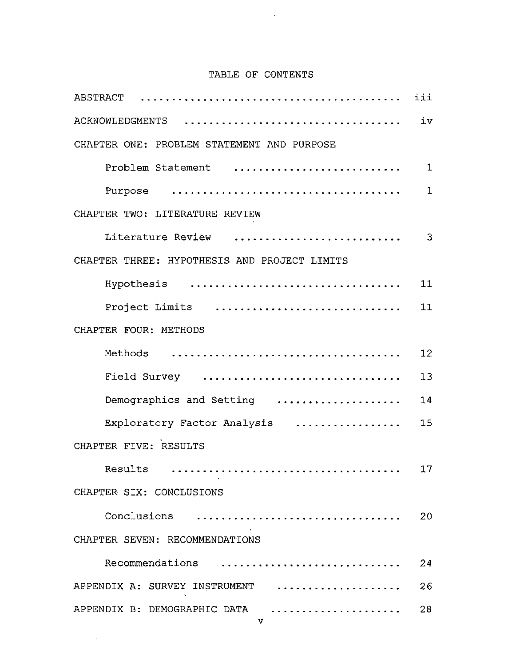# TABLE OF CONTENTS

 $\sim 10^{11}$ 

| TABLE OF CONTENTS                                   |             |
|-----------------------------------------------------|-------------|
|                                                     |             |
| ACKNOWLEDGMENTS                                     | iv          |
| CHAPTER ONE: PROBLEM STATEMENT AND PURPOSE          |             |
| Problem Statement                                   | $\mathbf 1$ |
|                                                     | $\mathbf 1$ |
| CHAPTER TWO: LITERATURE REVIEW                      |             |
| Literature Review                                   | 3           |
| CHAPTER THREE: HYPOTHESIS AND PROJECT LIMITS        |             |
| Hypothesis                                          | 11          |
| Project Limits                                      | 11          |
| CHAPTER FOUR: METHODS                               |             |
|                                                     | 12          |
| Field Survey                                        | 13          |
| Demographics and Setting                            | 14          |
| Exploratory Factor Analysis                         | 15          |
| CHAPTER FIVE: RESULTS                               |             |
| Results                                             | 17          |
| CHAPTER SIX: CONCLUSIONS                            |             |
| Conclusions                                         | 20          |
| CHAPTER SEVEN: RECOMMENDATIONS                      |             |
| Recommendations                                     | 24          |
| APPENDIX A: SURVEY INSTRUMENT                       | 26          |
| APPENDIX B: DEMOGRAPHIC DATA<br>. <i>. .</i> .<br>v | 28          |

 $\sim$   $\sim$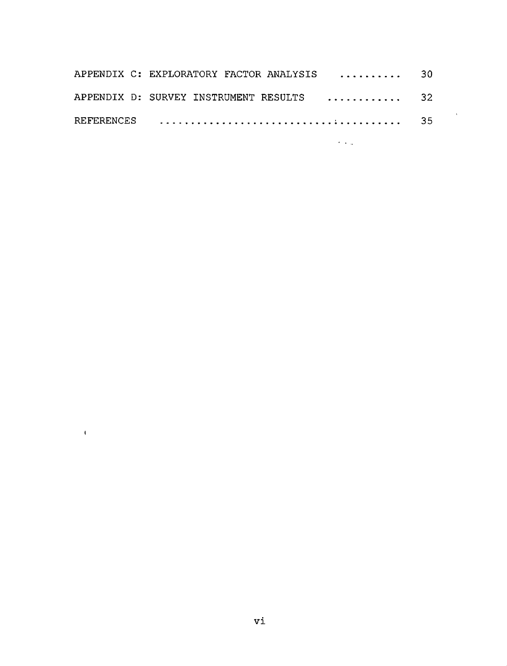|  |  | APPENDIX C: EXPLORATORY FACTOR ANALYSIS  30 |  |
|--|--|---------------------------------------------|--|
|  |  | APPENDIX D: SURVEY INSTRUMENT RESULTS  32   |  |
|  |  |                                             |  |

 $\mathcal{A} \rightarrow \mathcal{A}$ 

 $\bar{1}$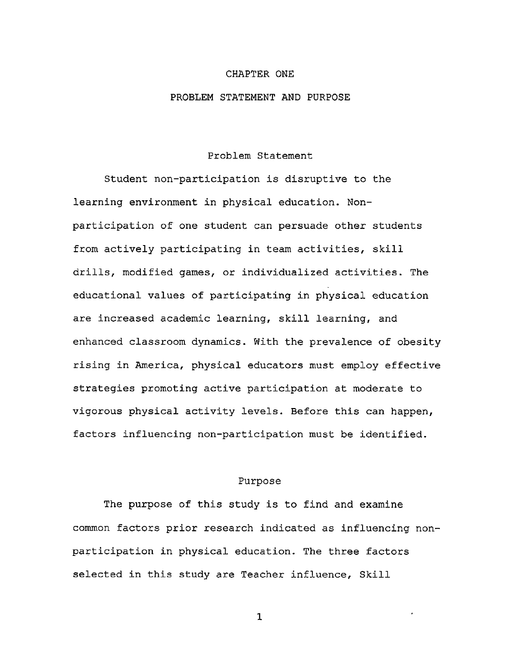#### CHAPTER ONE

#### PROBLEM STATEMENT AND PURPOSE

## Problem Statement

Student non-participation is disruptive to the learning environment in physical education. Nonparticipation of one student can persuade other students from actively participating in team activities, skill drills, modified games, or individualized activities. The educational values of participating in physical education are increased academic learning, skill learning, and enhanced classroom dynamics. With the prevalence of obesity rising in America, physical educators must employ effective strategies promoting active participation at moderate to vigorous physical activity levels. Before this can happen, factors influencing non-participation must be identified.

#### Purpose

The purpose of this study is to find and examine common factors prior research indicated as influencing nonparticipation in physical education. The three factors selected in this study are Teacher influence, Skill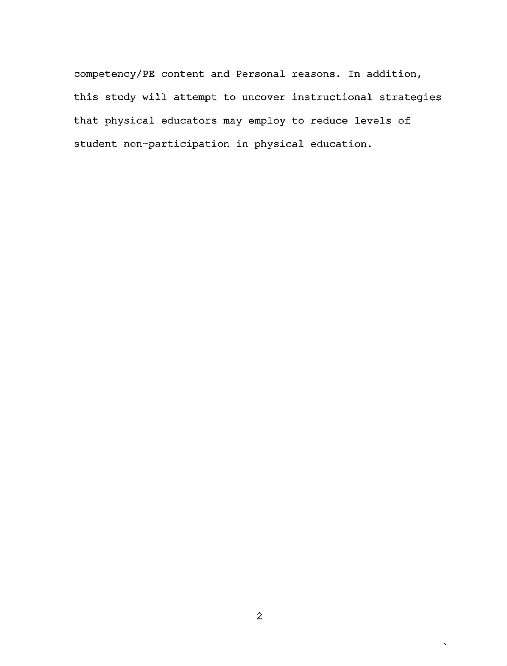competency/PE content and Personal reasons. In addition, this study will attempt to uncover instructional strategies that physical educators may employ to reduce levels of student non-participation in physical education.

 $\ddot{\phantom{0}}$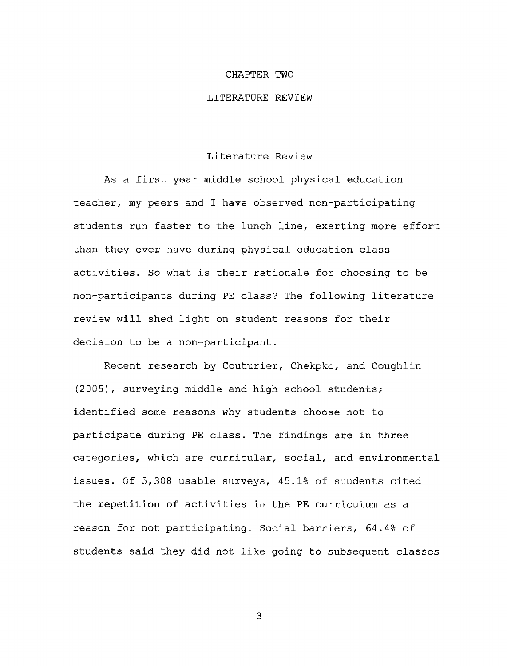#### CHAPTER TWO

#### LITERATURE REVIEW

#### Literature Review

As a first year middle school physical education teacher, my peers and I have observed non-participating students run faster to the lunch line, exerting more effort than they ever have during physical education class activities. So what is their rationale for choosing to be non-participants during PE class? The following literature review will shed light on student reasons for their decision to be a non-participant.

Recent research by Couturier, Chekpko, and Coughlin (2005), surveying middle and high school students; identified some reasons why students choose not to participate during PE class. The findings are in three categories, which are curricular, social, and environmental issues. Of 5,308 usable surveys, 45.1% of students cited the repetition of activities in the PE curriculum as a reason for not participating. Social barriers, 64.4% of students said they did not like going to subsequent classes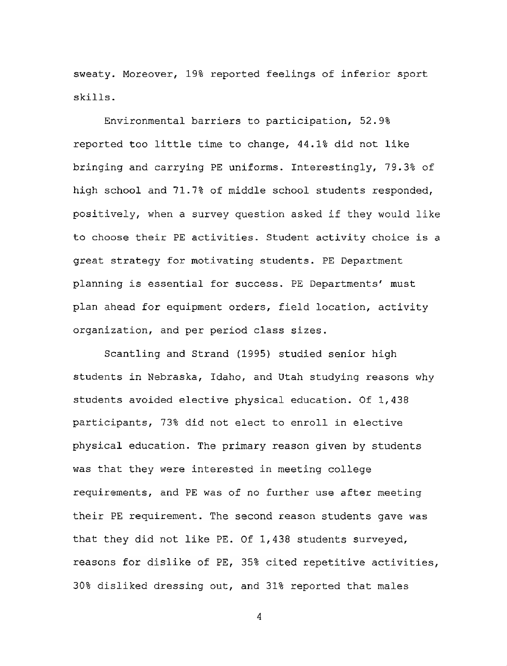sweaty. Moreover, 19% reported feelings of inferior sport skills.

Environmental barriers to participation, 52.9% reported too little time to change, 44.1% did not like bringing and carrying PE uniforms. Interestingly, 79.3% of high school and 71.7% of middle school students responded, positively, when a survey question asked if they would like to choose their PE activities. Student activity choice is a great strategy for motivating students. PE Department planning is essential for success. PE Departments' must plan ahead for equipment orders, field location, activity organization, and per period class sizes.

Scantling and Strand (1995) studied senior high students in Nebraska, Idaho, and Utah studying reasons why students avoided elective physical education. Of 1,438 participants, 73% did not elect to enroll in elective physical education. The primary reason given by students was that they were interested in meeting college requirements, and PE was of no further use after meeting that they did not like PE. Of 1,438 students surveyed, requirement. The second reason students gave was reasons for dislike of PE, 35% cited repetitive activities, 30% disliked dressing out, and 31% reported that males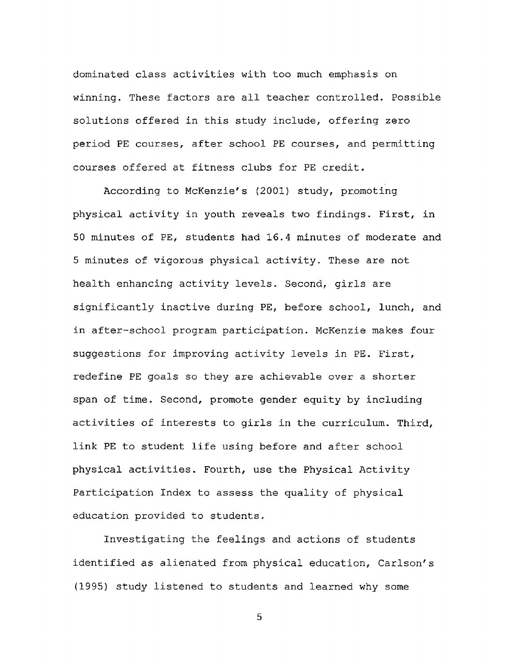dominated class activities with too much emphasis on winning. These factors are all teacher controlled. Possible solutions offered in this study include, offering zero period PE courses, after school PE courses, and permitting courses offered at fitness clubs for PE credit.

According to McKenzie's (2001) study, promoting physical activity in youth reveals two findings. First, in 50 minutes of PE, students had 16.4 minutes of moderate and 5 minutes of vigorous physical activity. These are not health enhancing activity levels. Second, girls are significantly inactive during PE, before school, lunch, and in after-school program participation. McKenzie makes four suggestions for improving activity levels in PE. First, redefine PE goals so they are achievable over a shorter span of time. Second, promote gender equity by including activities of interests to girls in the curriculum. Third, link PE to student life using before and after school physical activities. Fourth, use the Physical Activity Participation Index to assess the quality of physical education provided to students.

Investigating the feelings and actions of students identified as alienated from physical education, Carlson's (1995) study listened to students and learned why some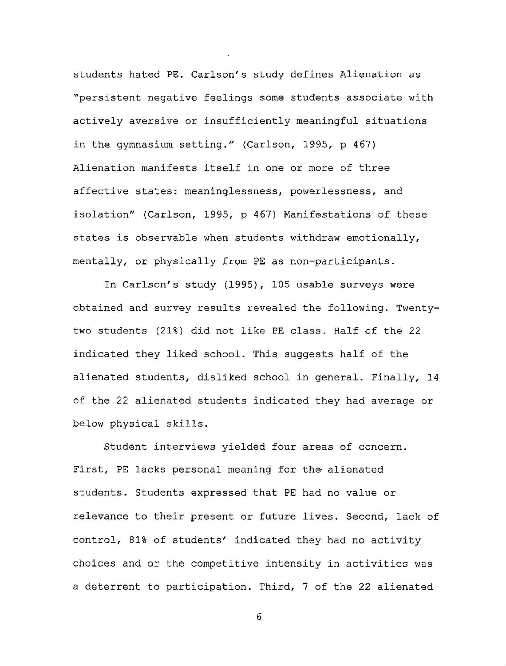students hated PE. Carlson's study defines Alienation as "persistent negative feelings some students associate with actively aversive or insufficiently meaningful situations in the gymnasium setting." (Carlson, 1995, p 467) Alienation manifests itself in one or more of three affective states: meaninglessness, powerlessness, and isolation" (Carlson, 1995, p 467) Manifestations of these states is observable when students withdraw emotionally, mentally, or physically from PE as non-participants.

In Carlson's study (1995), 105 usable surveys were obtained and survey results revealed the following. Twentytwo students (21%) did not like PE class. Half of the 22 indicated they liked school. This suggests half of the alienated students, disliked school in general. Finally, 14 of the 22 alienated students indicated they had average or below physical skills.

Student interviews yielded four areas of concern. First, PE lacks personal meaning for the alienated students. Students expressed that PE had no value or relevance to their present or future lives. Second, lack of control, 81% of students' indicated they had no activity choices and or the competitive intensity in activities was a deterrent to participation. Third, 7 of the 22 alienated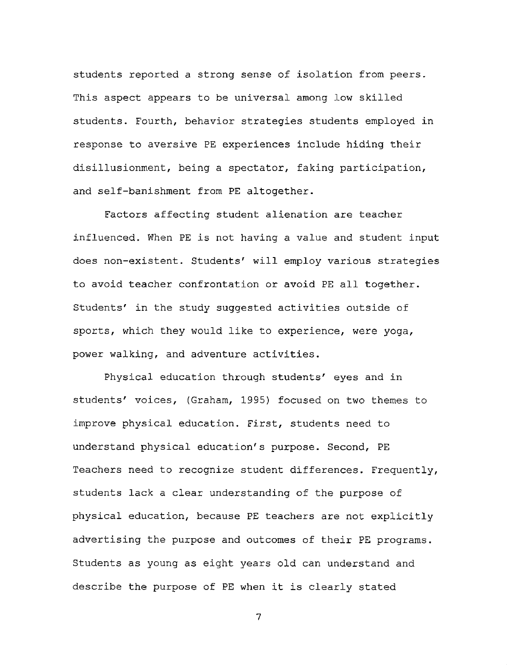students reported a strong sense of isolation from peers. This aspect appears to be universal among low skilled students. Fourth, behavior strategies students employed in response to aversive PE experiences include hiding their disillusionment, being a spectator, faking participation, and self-banishment from PE altogether.

Factors affecting student alienation are teacher influenced. When PE is not having a value and student input does non-existent. Students' will employ various strategies to avoid teacher confrontation or avoid PE all together. Students' in the study suggested activities outside of sports, which they would like to experience, were yoga, power walking, and adventure activities.

Physical education through students' eyes and in students' voices, (Graham, 1995) focused on two themes to improve physical education. First, students need to understand physical education's purpose. Second, PE Teachers need to recognize student differences. Frequently, students lack a clear understanding of the purpose of physical education, because PE teachers are not explicitly advertising the purpose and outcomes of their PE programs. Students as young as eight years old can understand and describe the purpose of PE when it is clearly stated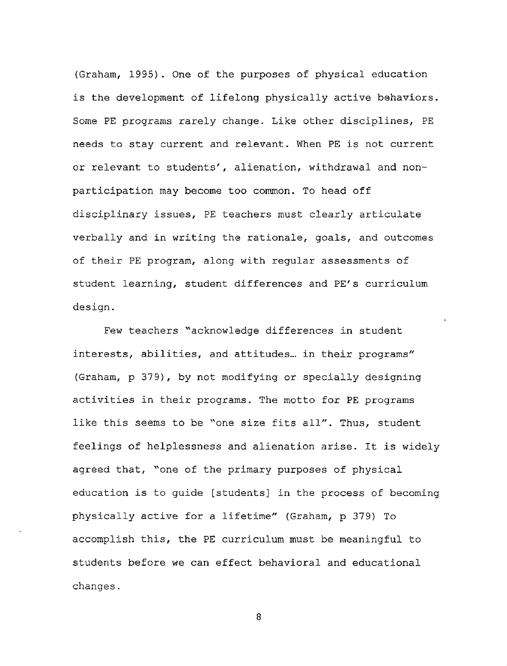(Graham, 1995). One of the purposes of physical education is the development of lifelong physically active behaviors. Some PE programs rarely change. Like other disciplines, PE needs to stay current and relevant. When PE is not current or relevant to students', alienation, withdrawal and nonparticipation may become too common. To head off disciplinary issues, PE teachers must clearly articulate verbally and in writing the rationale, goals, and outcomes of their PE program, along with regular assessments of student learning, student differences and PE's curriculum design.

Few teachers "acknowledge differences in student interests, abilities, and attitudes... in their programs" (Graham, p 379), by not modifying or specially designing activities in their programs. The motto for PE programs like this seems to be "one size fits all". Thus, student feelings of helplessness and alienation arise. It is widely agreed that, "one of the primary purposes of physical education is to guide [students] in the process of becoming physically active for a lifetime" (Graham, p 379) To accomplish this, the PE curriculum must be meaningful to students before we can effect behavioral and educational changes.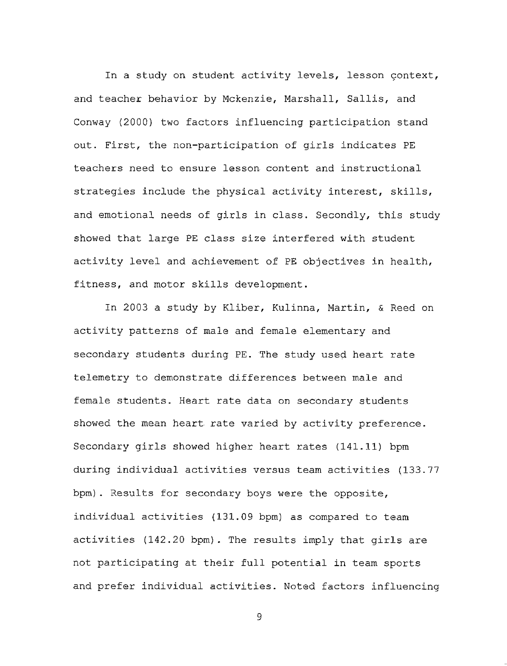In a study on student activity levels, lesson context, and teacher behavior by Mckenzie, Marshall, Sallis, and Conway (2000) two factors influencing participation stand out. First, the non-participation of girls indicates PE teachers need to ensure lesson- content and instructional strategies include the physical activity interest, skills, and emotional needs of girls in class. Secondly, this study showed that large PE class size interfered with student activity level and achievement of PE objectives in health, fitness, and motor skills development.

In 2003 a study by Kliber, Kulinna, Martin, & Reed on activity patterns of male and female elementary and secondary students during PE. The study used heart rate telemetry to demonstrate differences between male and female students. Heart rate data on secondary students showed the mean heart rate varied by activity preference. Secondary girls showed higher heart rates (141.11) bpm during individual activities versus team activities (133.77 bpm). Results for secondary boys were the opposite, individual activities (131.09 bpm) as compared to team activities (142.20 bpm). The results imply that girls are not participating at their full potential in team sports and prefer individual activities. Noted factors influencing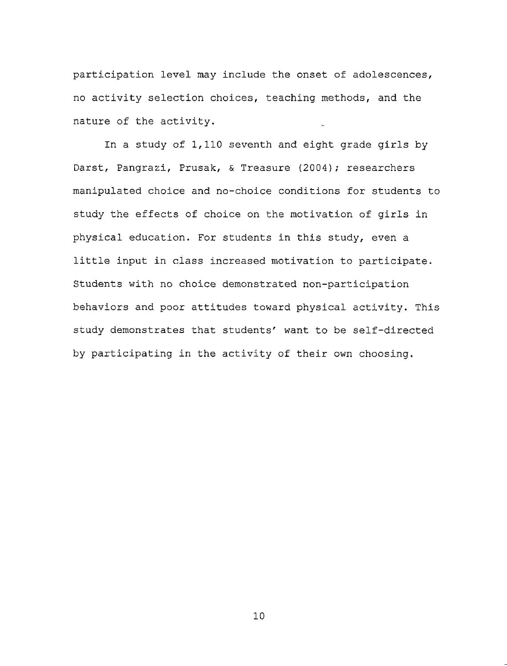participation level may include the onset of adolescences, no activity selection choices, teaching methods, and the nature of the activity.

In a study of 1,110 seventh and eight grade girls by Darst, Pangrazi, Prusak, & Treasure (2004); researchers manipulated choice and no-choice conditions for students to study the effects of choice on the motivation of girls in physical education. For students in this study, even a little input in class increased motivation to participate. Students with no choice demonstrated non-participation behaviors and poor attitudes toward physical activity. This study demonstrates that students' want to be self-directed by participating in the activity of their own choosing.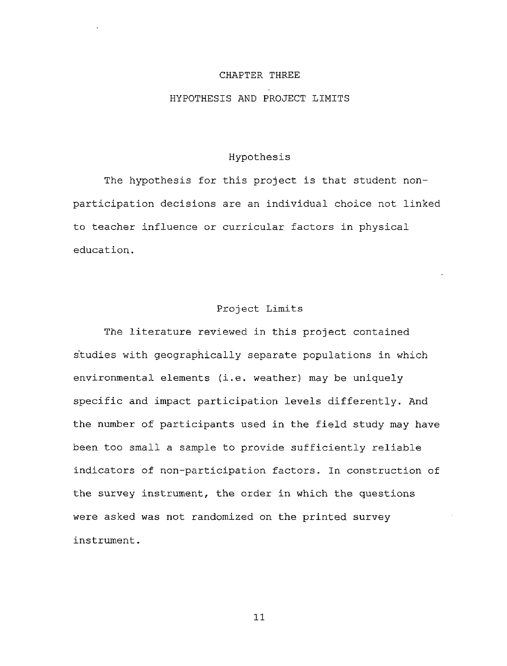#### CHAPTER THREE

#### HYPOTHESIS AND PROJECT LIMITS

### Hypothesis

The hypothesis for this project is that student nonparticipation decisions are an individual choice not linked to teacher influence or curricular factors in physical education.

## Project Limits

The literature reviewed in this project contained studies with geographically separate populations in which environmental elements (i.e. weather) may be uniquely specific and impact participation levels differently. And the number of participants used in the field study may have been too small a sample to provide sufficiently reliable indicators of non-participation factors. In construction of the survey instrument, the order in which the questions were asked was not randomized on the printed survey instrument.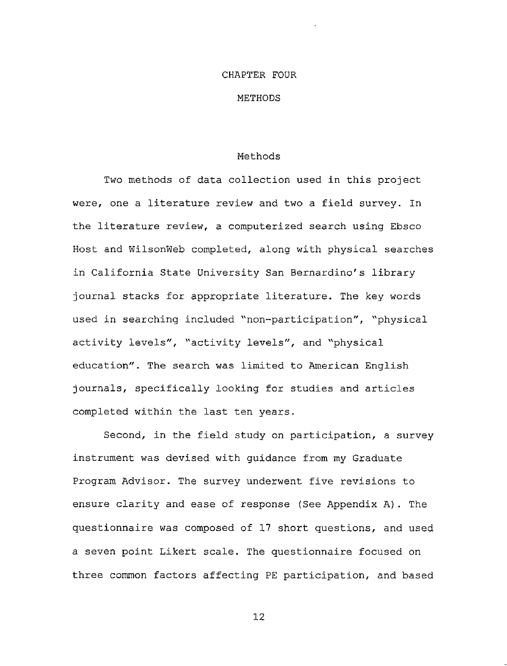#### CHAPTER FOUR

#### **METHODS**

#### Methods

Two methods of data collection used in this project were, one a literature review and two a field survey. In the literature review, a computerized search using Ebsco Host and WilsonWeb completed, along with physical searches in California State University San Bernardino's library journal stacks for appropriate literature. The key words used in searching included "non-participation", "physical activity levels", "activity levels", and "physical education". The search was limited to American English journals, specifically looking for studies and articles completed within the last ten years.

Second, in the field study on participation, a survey instrument was devised with guidance from my Graduate Program Advisor. The survey underwent five revisions to ensure clarity and ease of response (See Appendix A). The questionnaire was composed of 17 short questions, and used a seven point Likert scale. The questionnaire focused on three common factors affecting PE participation, and based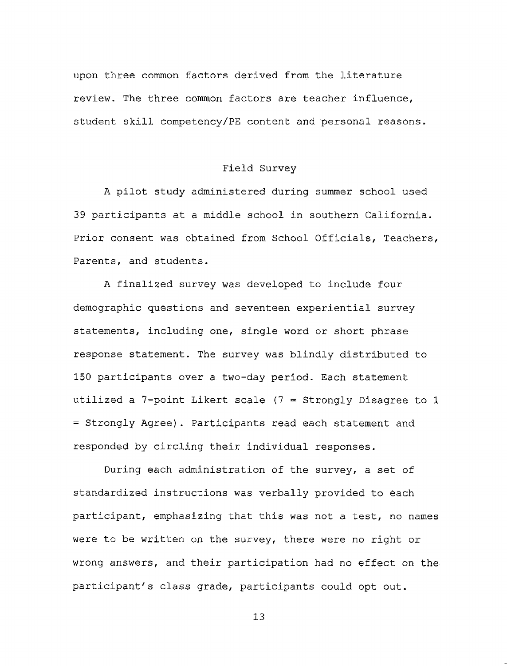upon three common factors derived from the literature review. The three common factors are teacher influence, student skill competency/PE content and personal reasons.

#### Field Survey

A pilot study administered during summer school used 39 participants at a middle school in southern California. Prior consent was obtained from School Officials, Teachers, Parents, and students.

A finalized survey was developed to include four demographic questions and seventeen experiential survey statements, including one, single word or short phrase response statement. The survey was blindly distributed to 150 participants over a two-day period. Each statement utilized a  $7$ -point Likert scale ( $7$  = Strongly Disagree to 1 = Strongly Agree). Participants read each statement and responded by circling their individual responses.

During each administration of the survey, a set of standardized instructions was verbally provided to each participant, emphasizing that this was not a test, no names were to be written on the survey, there were no right or wrong answers, and their participation had no effect on the participant's class grade, participants could opt out.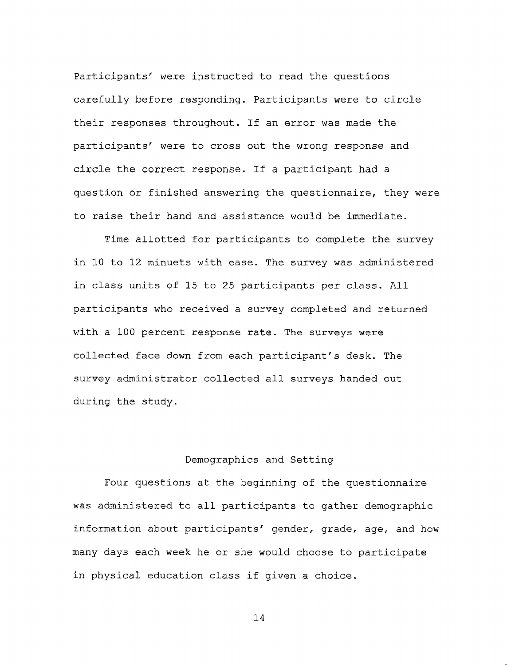Participants' were instructed to read the questions carefully before responding. Participants were to circle their responses throughout. If an error was made the participants' were to cross out the wrong response and circle the correct response. If a participant had a question or finished answering the questionnaire, they were to raise their hand and assistance would be immediate.

Time allotted for participants to complete the survey in 10 to 12 minuets with ease. The survey was administered in class units of 15 to 25 participants per class. All participants who received a survey completed and returned with a 100 percent response rate. The surveys were collected face down from each participant's desk. The survey administrator collected all surveys handed out during the study.

### Demographics and Setting

Four questions at the beginning of the questionnaire was administered to all participants to gather demographic information about participants' gender, grade, age, and how many days each week he or she would choose to participate in physical education class if given a choice.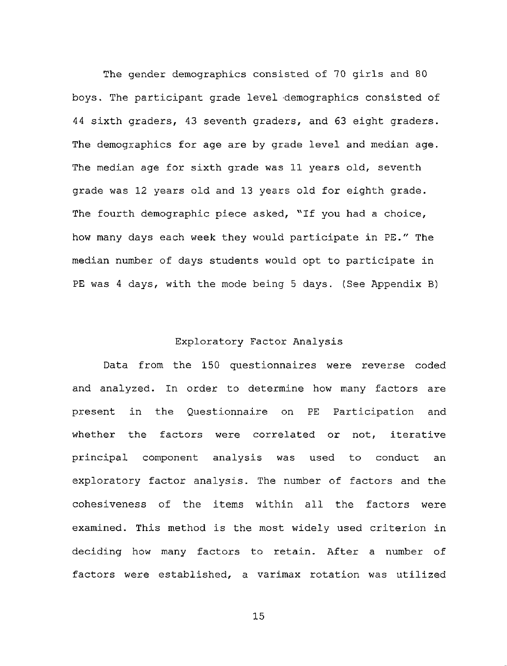The gender demographics consisted of 70 girls and 80 boys. The participant grade level 'demographics consisted of 44 sixth graders, 43 seventh graders, and 63 eight graders. The demographics for age are by grade level and median age. The median age for sixth grade was 11 years old, seventh grade was 12 years old and 13 years old for eighth grade. The fourth demographic piece asked, "If you had a choice, how many days each week they would participate in PE." The median number of days students would opt to participate in PE was <sup>4</sup> days, with the mode being 5 days. (See Appendix B)

#### Exploratory Factor Analysis

Data from the 150 questionnaires were reverse coded and analyzed. In order to determine how many factors are present in the Questionnaire on PE Participation and whether the factors were correlated or not, iterative principal component analysis was used to conduct an exploratory factor analysis. The number of factors and the cohesiveness of the items within all the factors were examined. This method is the most widely used criterion in deciding how many factors to retain. After a number of factors were established, a varimax rotation was utilized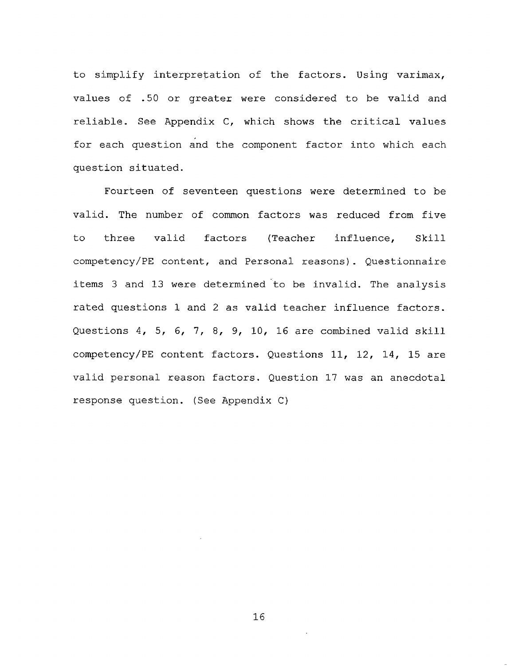to simplify interpretation of the factors. Using varimax, values of .50 or greater were considered to be valid and reliable. See Appendix C, which shows the critical values for each question and the component factor into which each question situated.

Fourteen of seventeen questions were determined to be valid. The number of common factors was reduced from five to three valid factors (Teacher influence, Skill competency/PE content, and Personal reasons). Questionnaire items 3 and 13 were determined to be invalid. The analysis rated questions 1 and 2 as valid teacher influence factors. Questions 4, 5, 6, 7, 8, 9, 10, 16 are combined valid skill competency/PE content factors. Questions 11, 12, 14, 15 are valid personal reason factors. Question 17 was an anecdotal response question. (See Appendix C)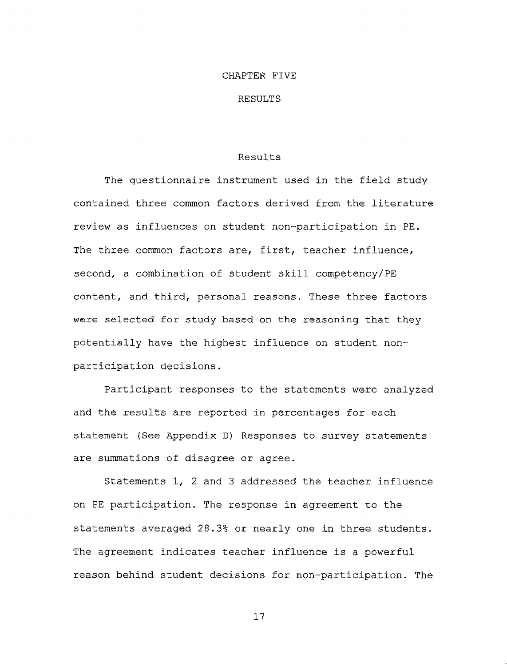#### CHAPTER FIVE

#### RESULTS.

#### Results

The questionnaire instrument used in the field study contained three common factors derived from the literature review as influences on student non-participation in PE. The three common factors are, first, teacher influence, second, a combination of student skill competency/PE content, and third, personal reasons. These three factors were selected for study based on the reasoning that they potentially have the highest influence on student nonparticipation decisions.

Participant responses to the statements were analyzed and the results are reported in percentages for each statement (See Appendix D) Responses to survey statements are summations of disagree or agree.

Statements 1, 2 and 3 addressed the teacher influence on PE participation. The response in agreement to the statements averaged 28.3% or nearly one in three students. The agreement indicates teacher influence is a powerful reason behind student decisions for non-participation. The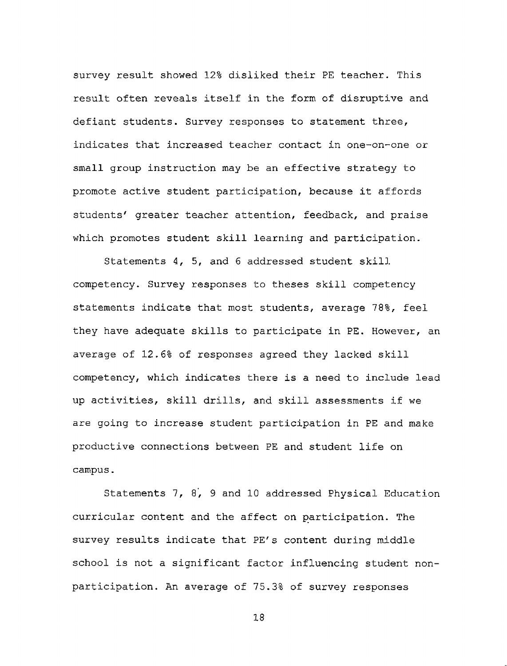survey result showed 12% disliked their PE teacher. This result often reveals itself in the form of disruptive and defiant students. Survey responses to statement three, indicates that increased teacher contact in one-on-one or small group instruction may be an effective strategy to promote active student participation, because it affords students' greater teacher attention, feedback, and praise which promotes student skill learning and participation.

Statements 4, 5, and 6 addressed student skill competency. Survey responses to theses skill competency statements indicate that most students, average 78%, feel they have adequate skills to participate in PE. However, an average of 12.6% of responses agreed they lacked skill competency, which indicates there is a need to include lead up activities, skill drills, and skill assessments if we are going to increase student participation in PE and make productive connections between PE and student life on campus.

Statements 7, 8, 9 and 10 addressed Physical Education curricular content and the affect on participation. The survey results indicate that PE's content during middle school is not a significant factor influencing student nonparticipation. An average of 75.3% of survey responses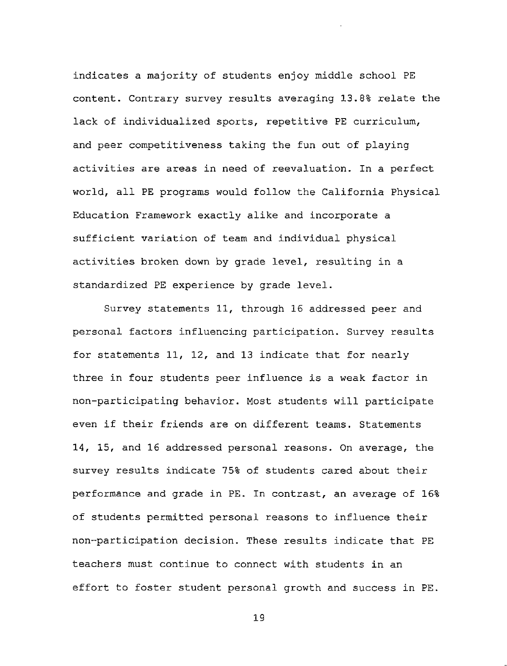indicates a majority of students enjoy middle school PE content. Contrary survey results averaging 13.8% relate the lack of individualized sports, repetitive PE curriculum, and peer competitiveness taking the fun out of playing activities are areas in need of reevaluation. In a perfect world, all PE programs would follow the California Physical Education Framework exactly alike and incorporate a sufficient variation of team and individual physical activities broken down by grade level, resulting in a standardized PE experience by grade level.

Survey statements 11, through 16 addressed peer and personal factors influencing participation. Survey results for statements 11, 12, and 13 indicate that for nearly three in four students peer influence is a weak factor in non-participating behavior. Most students will participate even if their friends are on different teams. Statements 14, 15, and 16 addressed personal reasons. On average, the survey results indicate 75% of students cared about their performance and grade in PE. In contrast, an average of 16% of students permitted personal reasons to influence their non-participation decision. These results indicate that PE teachers must continue to connect with students in an effort to foster student personal growth and success in PE.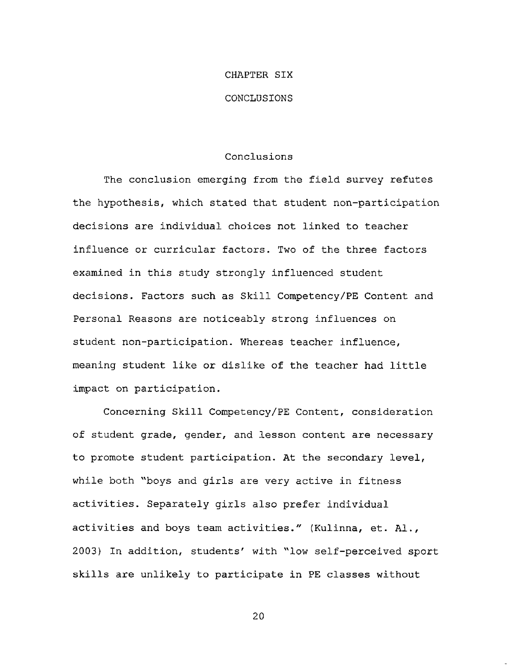#### CHAPTER SIX

#### CONCLUSIONS

#### Conclusions

The conclusion emerging from the field survey refutes the hypothesis, which stated that student non-participation decisions are individual choices not linked to teacher influence or curricular factors. Two of the three factors examined in this study strongly influenced student decisions. Factors such as Skill Competency/PE Content and Personal Reasons are noticeably strong influences on student non-participation. Whereas teacher influence, meaning student like or dislike of the teacher had little impact on participation.

Concerning Skill Competency/PE Content, consideration of student grade, gender, and lesson content are necessary to promote student participation. At the secondary level, while both "boys and girls are very active in fitness activities. Separately girls also prefer individual activities and boys team activities." (Kulinna, et. Al., 2003) In addition, students' with "low self-perceived sport skills are unlikely to participate in PE classes without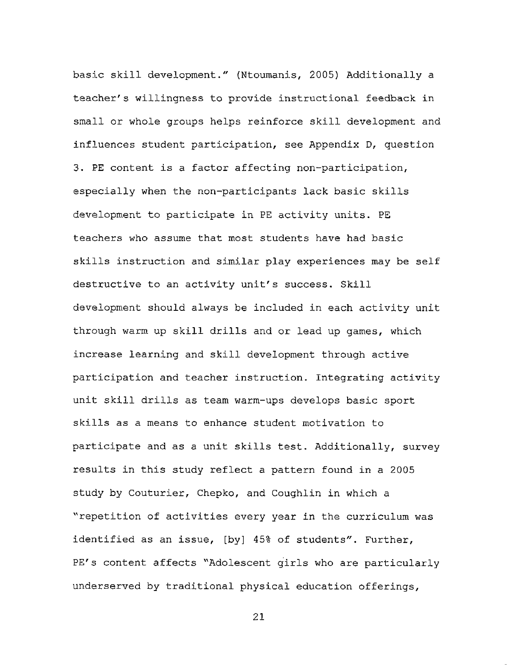basic skill development." (Ntoumanis, 2005) Additionally a teacher's willingness to provide instructional feedback in small or whole groups helps reinforce skill development and influences student participation, see Appendix D, question 3. PE content is a factor affecting non-participation, especially when the non-participants lack basic skills development to participate in PE activity units. PE teachers who assume that most students have had basic skills instruction and similar play experiences may be self destructive to an activity unit's success. Skill development should always be included in each activity unit through warm up skill drills and or lead up games, which increase learning and skill development through active participation and teacher instruction. Integrating activity unit skill drills as team warm-ups develops basic sport skills as a means to enhance student motivation to participate and as a unit skills test. Additionally, survey results in this study reflect a pattern found in a 2005 study by Couturier, Chepko, and Coughlin in which a "repetition of activities every year in the curriculum was identified as an issue, [by] 45% of students". Further, PE's content affects "Adolescent girls who are particularly underserved by traditional physical education offerings,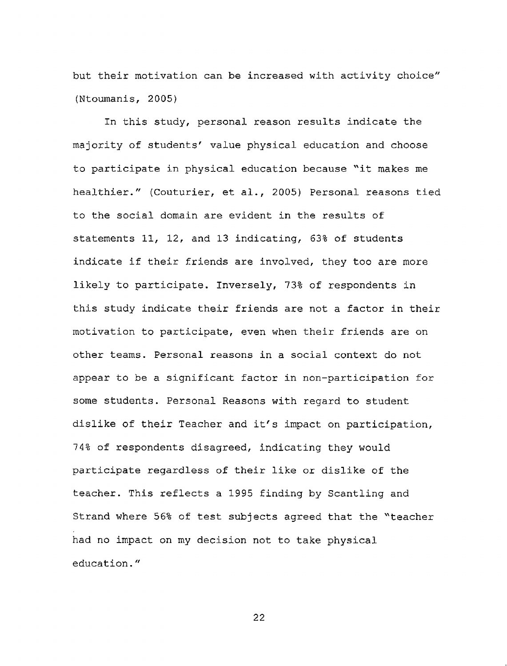but their motivation can be increased with activity choice" (Ntoumanis, 2005)

In this study, personal reason results indicate the majority of students' value physical education and choose to participate in physical education because "it makes me healthier." (Couturier, et al., 2005) Personal reasons tied to the social domain are evident in the results of statements 11, 12, and 13 indicating, 63% of students indicate if their friends are involved, they too are more likely to participate. Inversely, 73% of respondents in this study indicate their friends are not a factor in their motivation to participate, even when their friends are on other teams. Personal reasons in a social context do not appear to be a significant factor in non-participation for some students. Personal Reasons with regard to student dislike of their Teacher and it's impact on participation, 74% of respondents disagreed, indicating they would participate regardless of their like or dislike of the teacher. This reflects a 1995 finding by Scantling and Strand where 56% of test subjects agreed that the "teacher had no impact on my decision not to take physical education."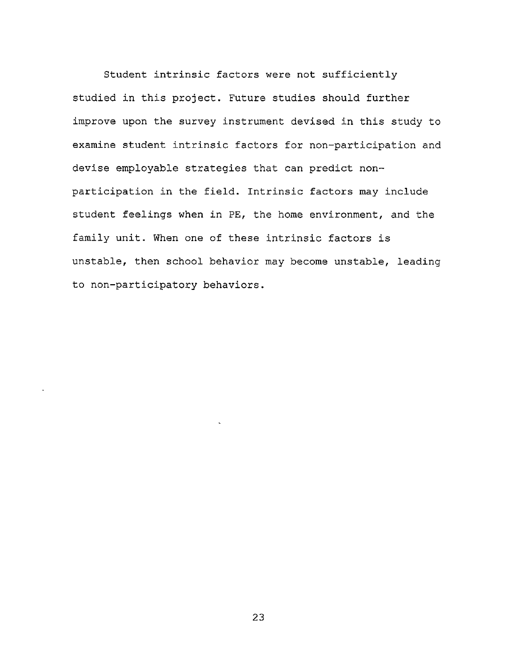Student intrinsic factors were not sufficiently studied in this project. Future studies should further improve upon the survey instrument devised in this study to examine student intrinsic factors for non-participation and devise employable strategies that can predict nonparticipation in the field. Intrinsic factors may include student feelings when in PE, the home environment, and the family unit. When one of these intrinsic factors is unstable, then school behavior may become unstable, leading to non-participatory behaviors.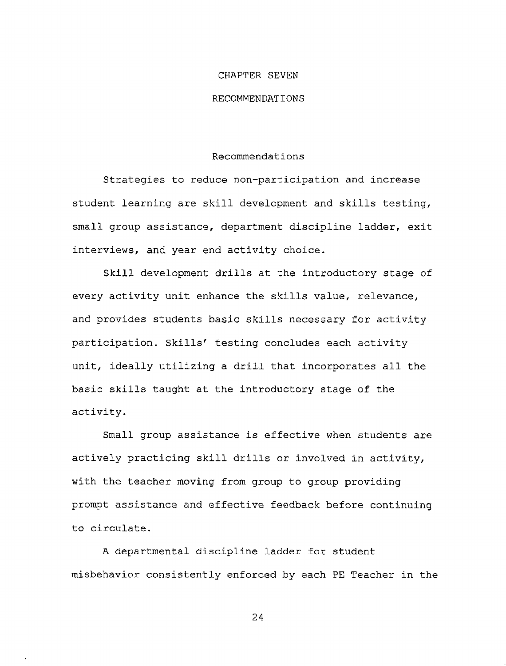#### CHAPTER SEVEN

#### RECOMMENDATIONS

#### Recommendations

Strategies to reduce non-participation and increase student learning are skill development and skills testing, small group assistance, department discipline ladder, exit interviews, and year end activity choice.

Skill development drills at the introductory stage of every activity unit enhance the skills value, relevance, and provides students basic skills necessary for activity participation. Skills' testing concludes each activity unit, ideally utilizing a drill that incorporates all the basic skills taught at the introductory stage of the activity.

Small group assistance is effective when students are actively practicing skill drills or involved in activity, with the teacher moving from group to group providing prompt assistance and effective feedback before continuing to circulate.

A departmental discipline ladder for student misbehavior consistently enforced by each PE Teacher in the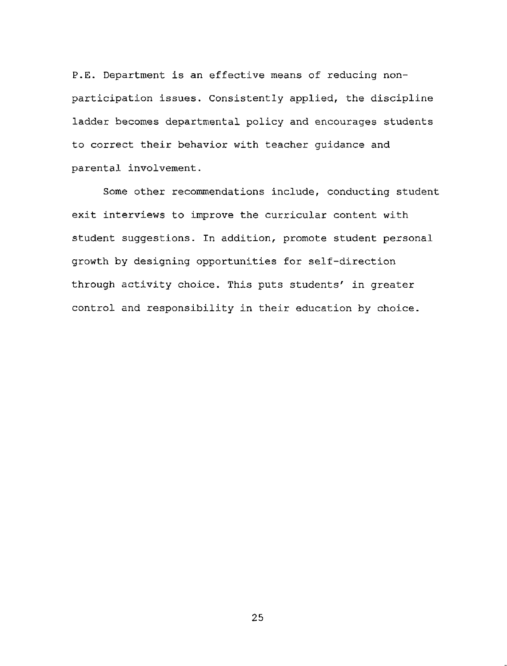P.E. Department is an effective means of reducing nonparticipation issues. Consistently applied, the discipline ladder becomes departmental policy and encourages students to correct their behavior with teacher guidance and parental involvement.

Some other recommendations include, conducting student exit interviews to improve the curricular content with student suggestions. In addition, promote student personal growth by designing opportunities for self-direction through activity choice. This puts students' in greater control and responsibility in their education by choice.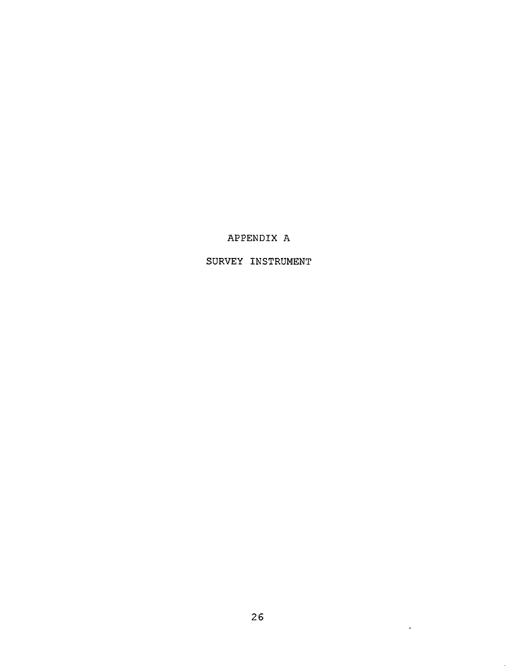# APPENDIX A

# SURVEY INSTRUMENT

 $\sim 10^7$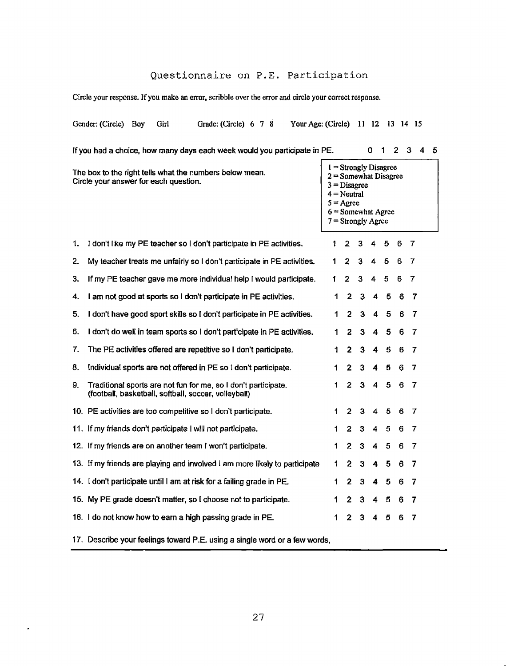# Questionnaire on P.E. Participation

**Circle your response. Ifyou make an error, scribble over the error and circle your correct response.**

|                                                                                                  | Gender: (Circle)                                                                                                       | Boy | Girl |  | Grade: (Circle) 6 7 8 |  |                                                                                                                                                             |  | Your Age: (Circle) |  |   |                |              | 11 12 |   | 13 14 15 |   |  |
|--------------------------------------------------------------------------------------------------|------------------------------------------------------------------------------------------------------------------------|-----|------|--|-----------------------|--|-------------------------------------------------------------------------------------------------------------------------------------------------------------|--|--------------------|--|---|----------------|--------------|-------|---|----------|---|--|
|                                                                                                  | If you had a choice, how many days each week would you participate in PE.<br>1<br>$\mathbf{2}$<br>3<br>0<br>4<br>5     |     |      |  |                       |  |                                                                                                                                                             |  |                    |  |   |                |              |       |   |          |   |  |
| The box to the right tells what the numbers below mean.<br>Circle your answer for each question. |                                                                                                                        |     |      |  |                       |  | $1 =$ Strongly Disagree<br>$2 =$ Somewhat Disagree<br>$3 = Disagree$<br>$4 =$ Neutral<br>$5 = \text{Agree}$<br>$6 =$ Somewhat Agree<br>$7 =$ Strongly Agree |  |                    |  |   |                |              |       |   |          |   |  |
| 1.                                                                                               | I don't like my PE teacher so I don't participate in PE activities.                                                    |     |      |  |                       |  |                                                                                                                                                             |  |                    |  | 1 | 2              | 3            | 4     | 5 | 6        | 7 |  |
| 2.                                                                                               | My teacher treats me unfairly so I don't participate in PE activities.                                                 |     |      |  |                       |  |                                                                                                                                                             |  |                    |  | 1 | 2              | 3            | 4     | 5 | 6        | 7 |  |
| З.                                                                                               | If my PE teacher gave me more individual help I would participate.                                                     |     |      |  |                       |  |                                                                                                                                                             |  |                    |  | 1 | 2              | 3            | 4     | 5 | 6        | 7 |  |
| 4.                                                                                               | I am not good at sports so I don't participate in PE activities.                                                       |     |      |  |                       |  |                                                                                                                                                             |  |                    |  | 1 | $\mathbf{2}$   | 3            | 4     | 5 | 6        | 7 |  |
| 5.                                                                                               | I don't have good sport skills so I don't participate in PE activities.                                                |     |      |  |                       |  |                                                                                                                                                             |  |                    |  | 1 | $\overline{2}$ | 3            | 4     | 5 | 6        | 7 |  |
| 6.                                                                                               | I don't do well in team sports so I don't participate in PE activities.                                                |     |      |  |                       |  |                                                                                                                                                             |  |                    |  | 1 | 2              | 3            | 4     | 5 | 6        | 7 |  |
| 7.                                                                                               | The PE activities offered are repetitive so I don't participate.                                                       |     |      |  |                       |  |                                                                                                                                                             |  |                    |  | 1 | 2              | 3            | 4     | 5 | 6        | 7 |  |
| 8.                                                                                               | Individual sports are not offered in PE so I don't participate.                                                        |     |      |  |                       |  |                                                                                                                                                             |  |                    |  | 1 | 2              | 3            | 4     | 5 | 6        | 7 |  |
| 9.                                                                                               | Traditional sports are not fun for me, so I don't participate.<br>(football, basketball, softball, soccer, volleyball) |     |      |  |                       |  |                                                                                                                                                             |  |                    |  | 1 | 2              | з            | 4     | 5 | 6        | 7 |  |
|                                                                                                  | 10. PE activities are too competitive so I don't participate.                                                          |     |      |  |                       |  |                                                                                                                                                             |  |                    |  | 1 | 2              | з            | 4     | 5 | 6        | 7 |  |
|                                                                                                  | 11. If my friends don't participate I will not participate.                                                            |     |      |  |                       |  |                                                                                                                                                             |  |                    |  | 1 | 2              | 3            | 4     | 5 | 6        | 7 |  |
|                                                                                                  | 12. If my friends are on another team I won't participate.                                                             |     |      |  |                       |  |                                                                                                                                                             |  |                    |  | 1 | 2              | 3            | 4     | 5 | 6        | 7 |  |
|                                                                                                  | 13. If my friends are playing and involved I am more likely to participate                                             |     |      |  |                       |  |                                                                                                                                                             |  |                    |  | 1 | 2              | $\mathbf{3}$ | 4     | 5 | 6        | 7 |  |
|                                                                                                  | 14. I don't participate until I am at risk for a failing grade in PE.                                                  |     |      |  |                       |  |                                                                                                                                                             |  |                    |  | 1 | 2              | 3            | 4     | 5 | 6        | 7 |  |
|                                                                                                  | 15. My PE grade doesn't matter, so I choose not to participate.                                                        |     |      |  |                       |  |                                                                                                                                                             |  |                    |  | 1 | 2              | 3            | 4     | 5 | 6        | 7 |  |
|                                                                                                  | 16. I do not know how to earn a high passing grade in PE.                                                              |     |      |  |                       |  |                                                                                                                                                             |  |                    |  | 1 | 2              | 3            | 4     | 5 | 6        | 7 |  |

17. Describe your feelings toward P.E. using a single word or a few words,

 $\bullet$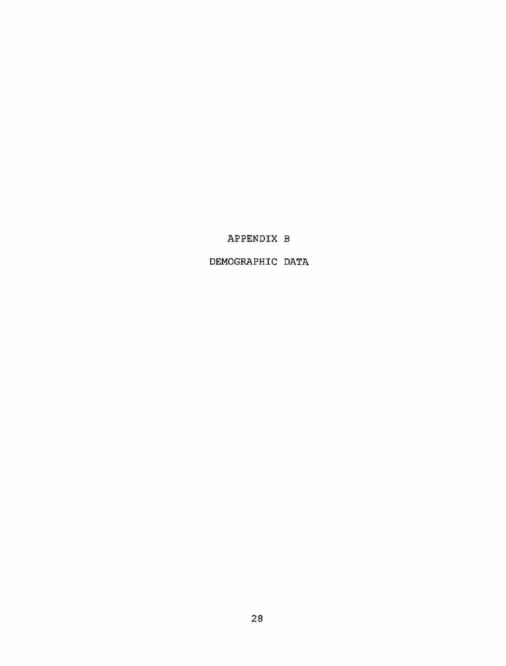# APPENDIX B

DEMOGRAPHIC DATA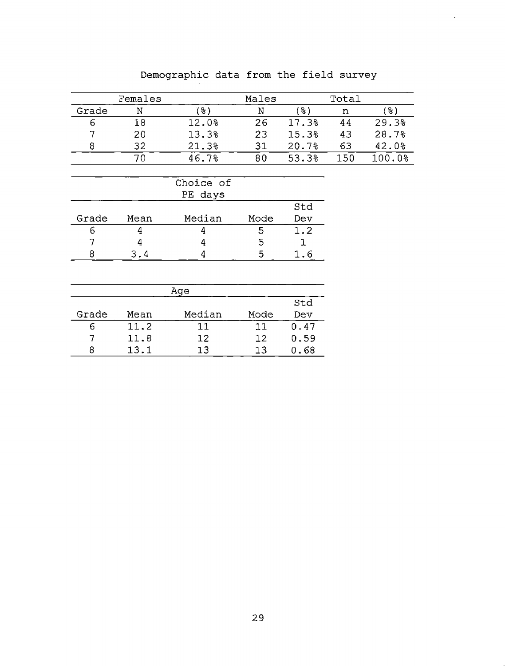|       | Females |           | Males             |       | Total |           |
|-------|---------|-----------|-------------------|-------|-------|-----------|
| Grade | N       | (응)       | N                 | (응)   | n     | (웅)       |
| 6     | 18      | 12.0%     | 26                | 17.3% | 44    | 29.3%     |
| 7     | 20      | 13.3%     | 23                | 15.3% | 43    | 28.7%     |
| 8     | 32      | 21.3%     | 31                | 20.7% | 63    | 42.0%     |
|       | 70      | 46.7%     | 80                | 53.3% | 150   | $100.0$ % |
|       |         |           |                   |       |       |           |
|       |         | Choice of |                   |       |       |           |
|       |         | PE days   |                   |       |       |           |
|       |         |           |                   | Std   |       |           |
| Grade | Mean    | Median    | Mode              | Dev   |       |           |
| 6     | 4       | 4         | 5                 | 1.2   |       |           |
| 7     | 4       | 4         | 5                 | 1     |       |           |
| 8     | 3.4     | 4         | 5                 | 1.6   |       |           |
|       |         |           |                   |       |       |           |
|       |         | Age       |                   |       |       |           |
|       |         |           |                   | Std   |       |           |
| Grade | Mean    | Median    | Mode              | Dev   |       |           |
| 6     | 11.2    | 11        | 11                | 0.47  |       |           |
| 7     | 11.8    | 12        | $12 \overline{ }$ | 0.59  |       |           |
| 8     | 13.1    | 13        | 13                | 0.68  |       |           |

# Demographic data from the field survey

 $\bar{z}$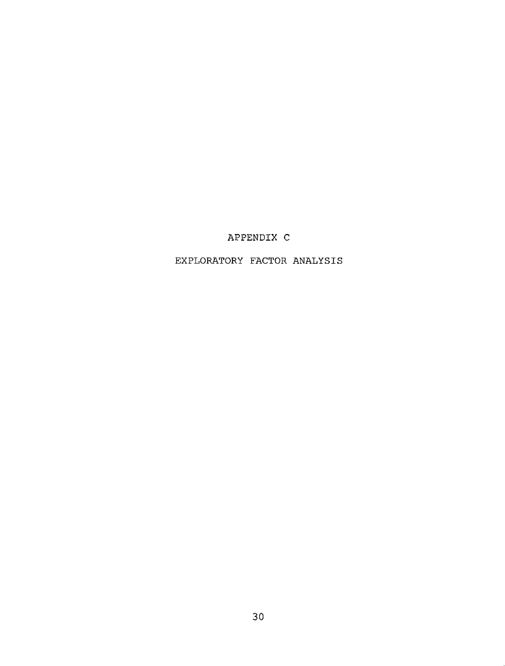# APPENDIX C

EXPLORATORY FACTOR ANALYSIS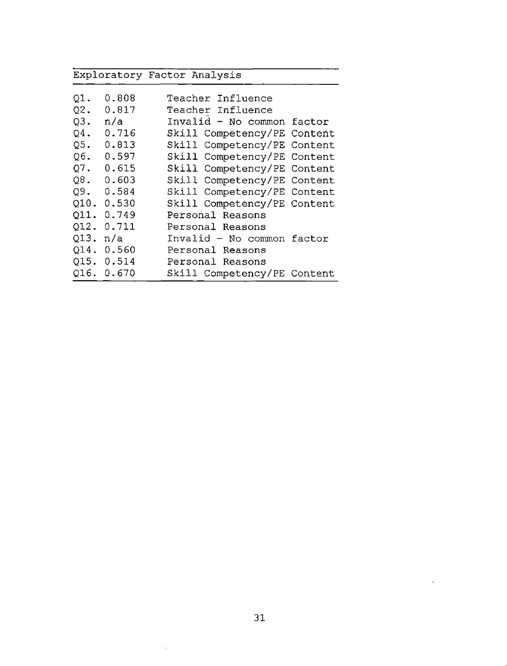|          |            | Exploratory Factor Analysis |
|----------|------------|-----------------------------|
| $Q1$ .   | 0.808      | Teacher Influence           |
| Q2.      | 0.817      | Teacher Influence           |
| $Q3$ .   | n/a        | Invalid - No common factor  |
| $Q4$ .   | 0.716      | Skill Competency/PE Content |
| $Q5$ .   | 0.813      | Skill Competency/PE Content |
| Q6.      | 0.597      | Skill Competency/PE Content |
| Q7.      | 0.615      | Skill Competency/PE Content |
|          | Q8.0.603   | Skill Competency/PE Content |
|          | Q9.0.584   | Skill Competency/PE Content |
|          | Q10. 0.530 | Skill Competency/PE Content |
|          | Q11. 0.749 | Personal Reasons            |
|          | Q12. 0.711 | Personal Reasons            |
| Q13. n/a |            | Invalid - No common factor  |
|          | Q14. 0.560 | Personal Reasons            |
|          | Q15. 0.514 | Personal Reasons            |
|          | Q16. 0.670 | Skill Competency/PE Content |

 $\sim$   $\sim$ 

 $\mathcal{L}^{\text{max}}_{\text{max}}$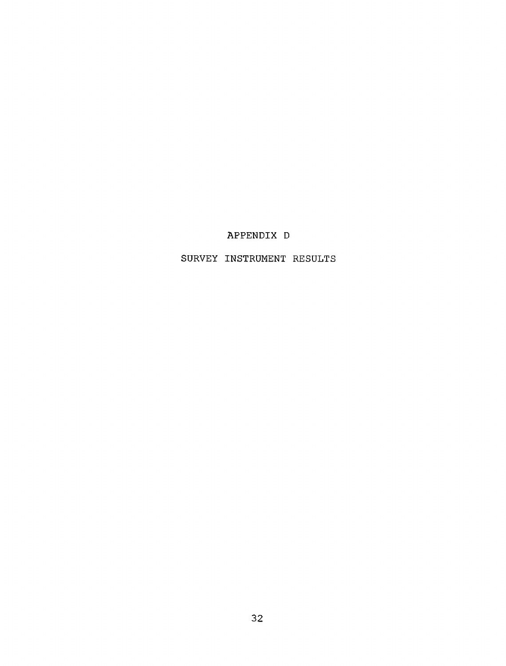# APPENDIX D

SURVEY INSTRUMENT RESULTS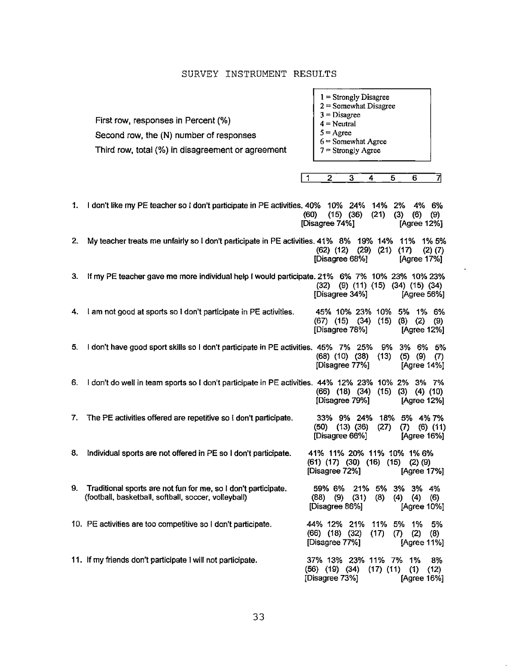#### SURVEY INSTRUMENT RESULTS

First row, responses in Percent (%) Second row, the (N) number of responses **3 = Disagree 4 = Neutral**  $5 = \text{Agree}$ 

Third row, total (%) in disagreement or agreement

- **<sup>1</sup> = Strongly Disagree**
- **2 = Somewhat Disagree**
- 
- 
- **6 = Somewhat Agree**
- **7 = Strongly Agree**

<sup>|</sup> <sup>1</sup> 2 3 4 5 6 7|

| 1. | 1 don't like my PE teacher so I don't participate in PE activities, 40% 10% 24% 14% 2%                                 | 4% 6%<br>$(15)$ $(36)$<br>(60)<br>(21)<br>(6)<br>(3)<br>(9)<br>[Disagree 74%]<br>[Agree 12%]                         |
|----|------------------------------------------------------------------------------------------------------------------------|----------------------------------------------------------------------------------------------------------------------|
| 2. | My teacher treats me unfairly so I don't participate in PE activities. 41% 8% 19% 14%                                  | 11%<br>1% 5%<br>$(62)$ $(12)$<br>$(29)$ $(21)$<br>(17)<br>$(2)$ $(7)$<br>[Disagree 68%]<br>[Agree 17%]               |
| З. | If my PE teacher gave me more individual help I would participate. 21% 6% 7% 10% 23% 10% 23%                           | $(9)$ $(11)$ $(15)$ $(34)$ $(15)$ $(34)$<br>(32)<br>[Disagree 34%]<br>[Agree 56%]                                    |
| 4. | I am not good at sports so I don't participate in PE activities.                                                       | 45% 10% 23% 10% 5% 1% 6%<br>$(67)$ $(15)$ $(34)$<br>$(15)$ $(8)$ $(2)$<br>(9)<br>[Disagree 78%]<br>[Agree 12%]       |
| 5. | I don't have good sport skills so I don't participate in PE activities. 45% 7% 25%                                     | 3% 6% 5%<br>9%<br>$(68)$ $(10)$ $(38)$<br>(13)<br>$(5)$ $(9)$ $(7)$<br>[Disagree 77%]<br>[Agree 14%]                 |
| 6. | I don't do well in team sports so I don't participate in PE activities. 44% 12% 23% 10% 2% 3% 7%                       | $(66)$ $(18)$ $(34)$ $(15)$ $(3)$ $(4)$ $(10)$<br>[Disagree 79%]<br>[Agree 12%]                                      |
| 7. | The PE activities offered are repetitive so I don't participate.                                                       | 33% 9% 24% 18% 5% 4% 7%<br>$(50)$ $(13)$ $(36)$<br>(27)<br>(7)<br>$(6)$ $(11)$<br>[Disagree 66%]<br>[Agree 16%]      |
| 8. | Individual sports are not offered in PE so I don't participate.                                                        | 41% 11% 20% 11% 10% 1% 6%<br>$(61)$ $(17)$ $(30)$ $(16)$ $(15)$ $(2)$ $(9)$<br>[Disagree 72%]<br>[Agree 17%]         |
| 9. | Traditional sports are not fun for me, so I don't participate.<br>(football, basketball, softball, soccer, volleyball) | 21% 5% 3% 3% 4%<br>59% 6%<br>(9)<br>(88)<br>(31)<br>(8)<br>(4)<br>(4)<br>(6)<br>[Disagree 86%]<br>[Agree 10%]        |
|    | 10. PE activities are too competitive so I don't participate.                                                          | 44% 12% 21% 11% 5% 1%<br>5%<br>$(66)$ $(18)$ $(32)$<br>(17)<br>(7)<br>(2)<br>(8)<br>[Disagree 77%]<br>[Agree 11%]    |
|    | 11. If my friends don't participate I will not participate.                                                            | 37% 13% 23% 11% 7% 1%<br>8%<br>$(56)$ $(19)$ $(34)$<br>$(17)$ $(11)$<br>(1)<br>(12)<br>[Disagree 73%]<br>[Agree 16%] |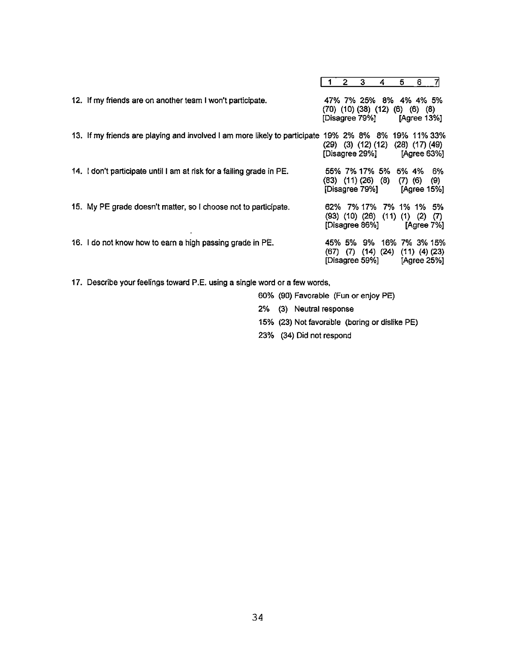|                                                                                                     |  | 2            | 3                                            | 4                                                                      | 5                    | 6                  |                                    |
|-----------------------------------------------------------------------------------------------------|--|--------------|----------------------------------------------|------------------------------------------------------------------------|----------------------|--------------------|------------------------------------|
| 12. If my friends are on another team I won't participate.                                          |  |              | [Disagree 79%]                               | 47% 7% 25% 8% 4% 4% 5%<br>$(70)$ $(10)$ $(38)$ $(12)$ $(6)$            |                      | (6)<br>[Agree 13%] | (8)                                |
| 13. If my friends are playing and involved I am more likely to participate 19% 2% 8% 8% 19% 11% 33% |  |              | $(29)$ $(3)$ $(12)$ $(12)$<br>[Disagree 29%] |                                                                        | $(28)$ $(17)$ $(49)$ |                    | [Agree 63%]                        |
| 14. I don't participate until I am at risk for a failing grade in PE.                               |  |              |                                              | 55% 7% 17% 5% 5% 4% 6%<br>$(83)$ $(11)$ $(26)$ $(8)$<br>[Disagree 79%] | $(7)$ $(6)$          |                    | (9)<br>[Agree 15%]                 |
| 15. My PE grade doesn't matter, so I choose not to participate.                                     |  |              | [Disagree 86%]                               | 62% 7% 17% 7% 1% 1% 5%<br>$(93)$ $(10)$ $(26)$ $(11)$ $(1)$            |                      | (2)                | (7)<br>[Agree 7%]                  |
| 16. I do not know how to earn a high passing grade in PE.                                           |  | $(67)$ $(7)$ | [Disagree 59%]                               | 45% 5% 9% 16% 7% 3% 15%<br>$(14)$ $(24)$                               |                      |                    | $(11)$ $(4)$ $(23)$<br>[Agree 25%] |

17. Describe your feelings toward P.E. using a single word or a few words,

60% (90) Favorable (Fun or enjoy PE)

2% (3) Neutral response

- 15% (23) Not favorable (boring or dislike PE)
- 23% (34) Did not respond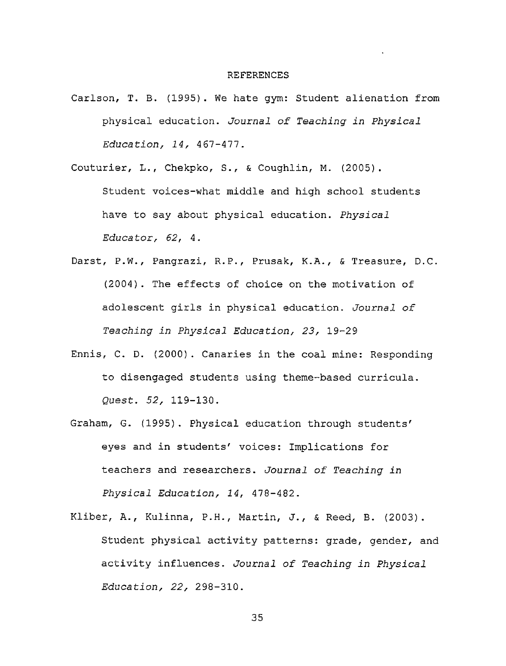#### REFERENCES

- Carlson, T. B. (1995). We hate gym: Student alienation from physical education. *Journal of Teaching in Physical Education, 14,* 467-477.
- Couturier, L., Chekpko, S., & Coughlin, M. (2005). Student voices-what middle and high school students have to say about physical education. *Physical Educator, 62,* 4.
- Darst, P.W., Pangrazi, R.P., Prusak, K.A. , & Treasure, D.C. (2004). The effects of choice on the motivation of adolescent girls in physical education. *Journal of Teaching in Physical Education, 23,* 19-29
- Ennis, C. D. (2000). Canaries in the coal mine: Responding to disengaged students using theme-based curricula. *Quest. 52,* 119-130.
- Graham, G. (1995). Physical education through students' eyes and in students' voices: Implications for teachers and researchers. *Journal of Teaching in Physical Education, 14,* 478-482.
- Kliber, A., Kulinna, P.H., Martin, J., & Reed, B. (2003). Student physical activity patterns: grade, gender, and activity influences. *Journal of Teaching in Physical Education, 22,* 298-310.